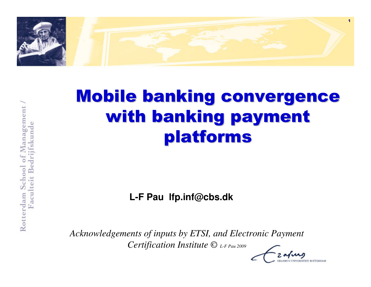

# Mobile banking convergence with banking payment platforms

**L-F Pau lfp.inf@cbs.dk**

*Acknowledgements of inputs by ETSI, and Electronic Payment Certification Institute © L-F Pau 2009*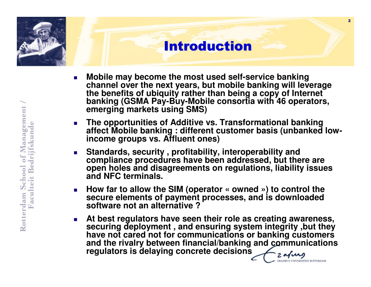### Introduction

- **Mobile may become the most used self-service banking channel over the next years, but mobile banking will leverage the benefits of ubiquity rather than being a copy of Internet banking (GSMA Pay-Buy-Mobile consortia with 46 operators, emerging markets using SMS)**
- П **The opportunities of Additive vs. Transformational banking affect Mobile banking : different customer basis (unbanked lowincome groups vs. Affluent ones)**
- **Standards, security , profitability, interoperability and compliance procedures have been addressed, but there are open holes and disagreements on regulations, liability issues and NFC terminals.**
- П **How far to allow the SIM (operator « owned ») to control the secure elements of payment processes, and is downloaded software not an alternative ?**
- **At best regulators have seen their role as creating awareness, securing deployment , and ensuring system integrity ,but they have not cared not for communications or banking customers and the rivalry between financial/banking and communications regulators is delaying concrete decisions**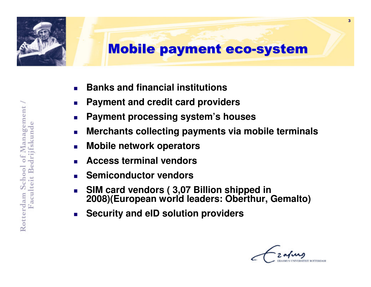

- П **Banks and financial institutions**
- $\mathcal{L}^{\mathcal{L}}$ **Payment and credit card providers**
- $\mathcal{L}_{\rm{max}}$ **Payment processing system's houses**
- $\sim$ **Merchants collecting payments via mobile terminals**
- П **Mobile network operators**
- Ш **Access terminal vendors**
- Ш **Semiconductor vendors**
- Ш **SIM card vendors ( 3,07 Billion shipped in 2008)(European world leaders: Oberthur, Gemalto)**
- Ш **Security and eID solution providers**

3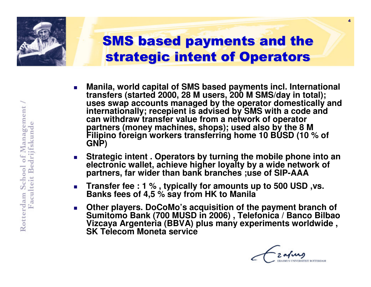

- П **Manila, world capital of SMS based payments incl. International transfers (started 2000, 28 M users, 200 M SMS/day in total); uses swap accounts managed by the operator domestically and internationally; recepient is advised by SMS with a code and can withdraw transfer value from a network of operator** partners (money machines, shops); used also by the 8 M Filipino foreign workers transferring home 10 BUSD (10 % of **GNP)**
- **Strategic intent . Operators by turning the mobile phone into an electronic wallet, achieve higher loyalty by a wide network of partners, far wider than bank branches ;use of SIP-AAA**
- **Transfer fee : 1 %, typically for amounts up to 500 USD, vs. Banks fees of 4,5 % say from HK to Manila**
- **Other players. DoCoMo's acquisition of the payment branch of Sumitomo Bank (700 MUSD in 2006) , Telefonica / Banco Bilbao Vizcaya Argenteria (BBVA) plus many experiments worldwide , SK Telecom Moneta service**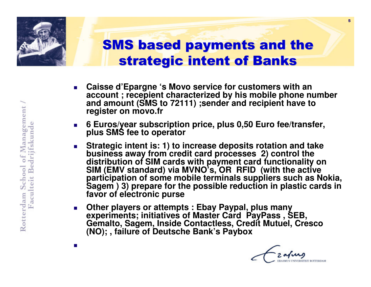

# SMS based payments and the strategic intent of Banks

- П **Caisse d'Epargne 's Movo service for customers with an account ; recepient characterized by his mobile phone number and amount (SMS to 72111) ;sender and recipient have to register on movo.fr**
- **6 Euros/year subscription price, plus 0,50 Euro fee/transfer, plus SMS fee to operator**
- **Strategic intent is: 1) to increase deposits rotation and take business away from credit card processes 2) control the distribution of SIM cards with payment card functionality on SIM (EMV standard) via MVNO's, OR RFID (with the active** participation of some mobile terminals suppliers such as Nokia, **Sagem** ) 3) prepare for the possible reduction in plastic cards in **favor of electronic purse**
- Other players or attempts : Ebay Paypal, plus many **experiments; initiatives of Master Card PayPass, SEB, Gemalto, Sagem, Inside Contactless, Credit Mutuel, Cresco (NO); , failure of Deutsche Bank's Paybox**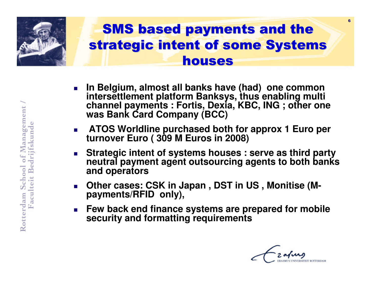

- П **In Belgium, almost all banks have (had) one common**intersettlement platform Banksys, thus enabling multi **interate bayments : Fortis, Dexia, KBC, ING ; other one was Bank Card Company (BCC)**
- П **ATOS Worldline purchased both for approx 1 Euro per turnover Euro ( 309 M Euros in 2008)**
- **Strategic intent of systems houses : serve as third party neutral payment agent outsourcing agents to both banks and operators**
- **n** Other cases: CSK in Japan, DST in US, Monitise (M**payments/RFID only),**
- Ш **Few back end finance systems are prepared for mobile security and formatting requirements**

6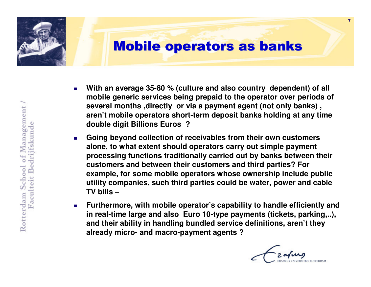

- Г **With an average 35-80 % (culture and also country dependent) of all mobile generic services being prepaid to the operator over periods of several months ,directly or via a payment agent (not only banks) , aren't mobile operators short-term deposit banks holding at any time double digit Billions Euros ?**
- Г **Going beyond collection of receivables from their own customers alone, to what extent should operators carry out simple payment processing functions traditionally carried out by banks between their customers and between their customers and third parties? For example, for some mobile operators whose ownership include public utility companies, such third parties could be water, power and cable TV bills –**
- $\mathcal{L}_{\mathcal{A}}$  **Furthermore, with mobile operator's capability to handle efficiently and in real-time large and also Euro 10-type payments (tickets, parking,..), and their ability in handling bundled service definitions, aren't they already micro- and macro-payment agents ?**

7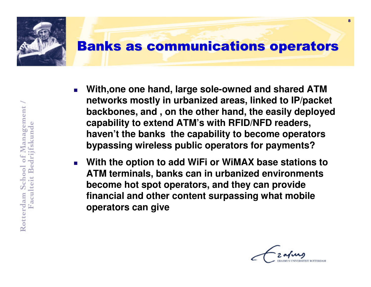

- Ш **With,one one hand, large sole-owned and shared ATM networks mostly in urbanized areas, linked to IP/packet backbones, and , on the other hand, the easily deployed capability to extend ATM's with RFID/NFD readers, haven't the banks the capability to become operators bypassing wireless public operators for payments?**
- **With the option to add WiFi or WiMAX base stations to ATM terminals, banks can in urbanized environments become hot spot operators, and they can provide financial and other content surpassing what mobile operators can give**

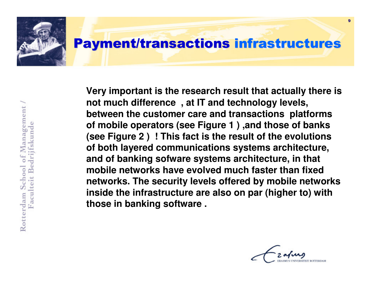

**Very important is the research result that actually there is not much difference , at IT and technology levels, between the customer care and transactions platforms of mobile operators (see Figure 1 ) ,and those of banks (see Figure 2 ) ! This fact is the result of the evolutions of both layered communications systems architecture, and of banking sofware systems architecture, in that mobile networks have evolved much faster than fixed networks. The security levels offered by mobile networks inside the infrastructure are also on par (higher to) with those in banking software .**

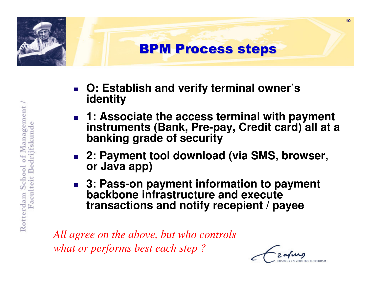

- **O: Establish and verify terminal owner'sidentity**
- H. **1: Associate the access terminal with payment instruments (Bank, Pre-pay, Credit card) all at <sup>a</sup> banking grade of security**
- × **2: Payment tool download (via SMS, browser, or Java app)**
- × **2: Pass-on payment information to payment backbone infrastructure and executetransactions and notify recepient / payee**

*All agree on the above, but who controls what or performs best each step ?*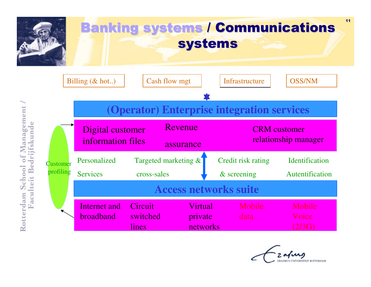

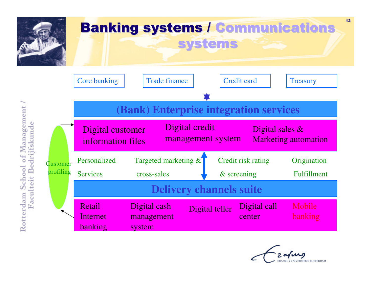

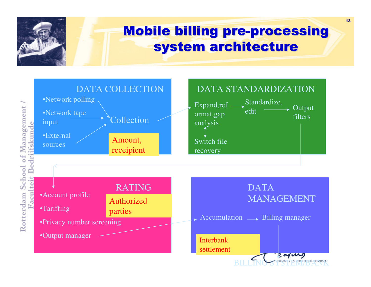

#### Mobile billing pre-processing system architecture

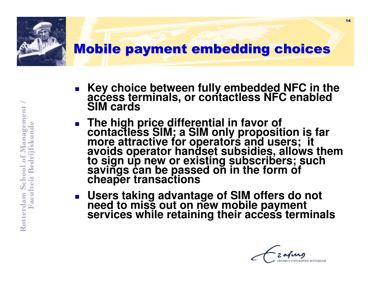

- × **Key choice between fully embedded NFC in the access terminals, or contactless NFC enabled SIM cards**
- m. ■ The high price differential in favor of<br>contactless SIM; a SIM only proposition is far<br>more attractive for operators and users; it<br>avoids operator handset subsidies, allows them<br>to sign up new or existing subscribers; s
- × **Users taking advantage of SIM offers do not need to miss out on new mobile payment services while retaining their access terminals**

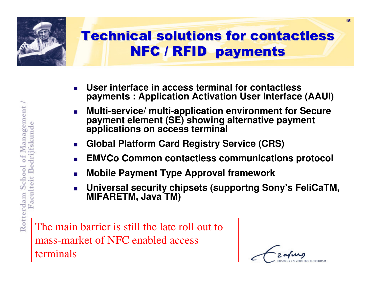

### Technical solutions for contactlessNFC / RFID payments

- П **User interface in access terminal for contactlesspayments : Application Activation User Interface (AAUI)**
- Ш **Multi-service/ multi-application environment for Secure payment element (SE) showing alternative paymentapplications on access terminal**
- Ш **Global Platform Card Registry Service (CRS)**
- Ш **EMVCo Common contactless communications protocol**
- Ш **Mobile Payment Type Approval framework**
- Ш **Universal security chipsets (supportng Sony's FeliCaTM, MIFARETM, Java TM)**

The main barrier is still the late roll out to mass-market of NFC enabled accessterminals

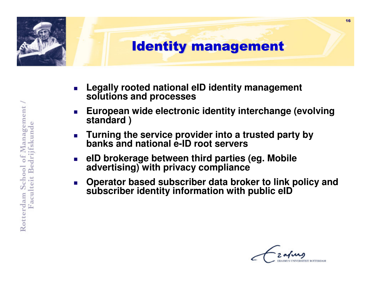

- П **Legally rooted national eID identity management solutions and processes**
- Ш **European wide electronic identity interchange (evolvingstandard )**
- **EXECUTE:** Turning the service provider into a trusted party by **banks and national e-ID root servers**
- Ш **eID brokerage between third parties (eg. Mobile advertising) with privacy compliance**
- Ш **Operator based subscriber data broker to link policy andsubscriber identity information with public eID**

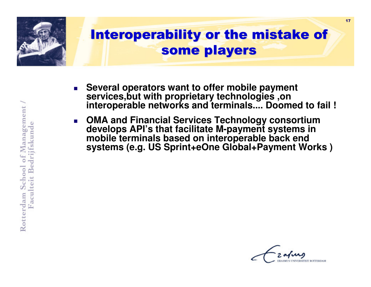

- П **Several operators want to offer mobile payment services,but with proprietary technologies ,on interoperable networks and terminals.... Doomed to fail !**
- Ш **OMA and Financial Services Technology consortium develops API's that facilitate M-payment systems inmobile terminals based on interoperable back end systems (e.g. US Sprint+eOne Global+Payment Works )**

Rotterdam School of Management Faculteit Bedrijfskund

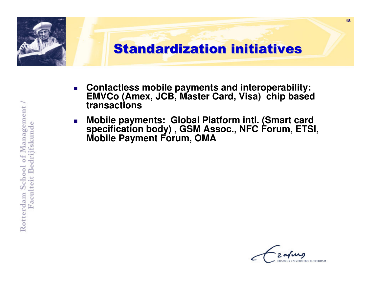

- $\mathcal{L}_{\mathcal{A}}$  **Contactless mobile payments and interoperability: EMVCo (Amex, JCB, Master Card, Visa) chip basedtransactions**
- $\mathcal{L}_{\text{eff}}$  **Mobile payments: Global Platform intl. (Smart card specification body) , GSM Assoc., NFC Forum, ETSI, Mobile Payment Forum, OMA**

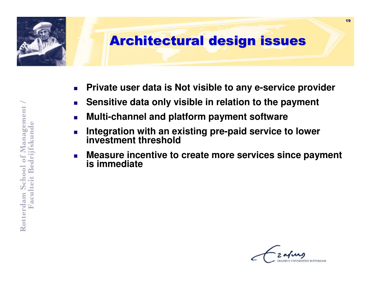

- П **Private user data is Not visible to any e-service provider**
- $\mathcal{L}^{\mathcal{L}}$ **Sensitive data only visible in relation to the payment**
- $\mathcal{L}_{\mathcal{A}}$ **Multi-channel and platform payment software**
- Ш **Integration with an existing pre-paid service to lower investment threshold**
- Ш **Measure incentive to create more services since payment is immediate**